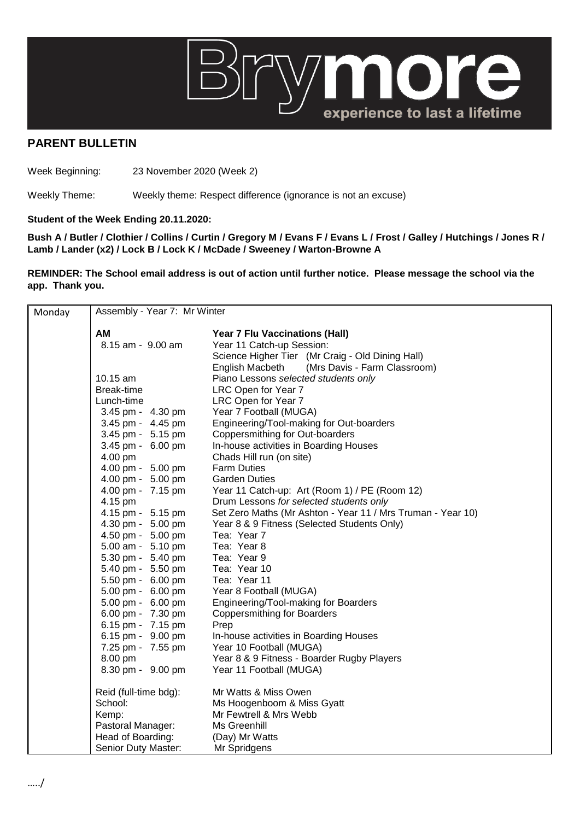

## **PARENT BULLETIN**

Week Beginning: 23 November 2020 (Week 2)

Weekly Theme: Weekly theme: Respect difference (ignorance is not an excuse)

## **Student of the Week Ending 20.11.2020:**

**Bush A / Butler / Clothier / Collins / Curtin / Gregory M / Evans F / Evans L / Frost / Galley / Hutchings / Jones R / Lamb / Lander (x2) / Lock B / Lock K / McDade / Sweeney / Warton-Browne A** 

**REMINDER: The School email address is out of action until further notice. Please message the school via the app. Thank you.**

| Monday | Assembly - Year 7: Mr Winter |                                                             |
|--------|------------------------------|-------------------------------------------------------------|
|        | AM                           | <b>Year 7 Flu Vaccinations (Hall)</b>                       |
|        | 8.15 am - 9.00 am            | Year 11 Catch-up Session:                                   |
|        |                              | Science Higher Tier (Mr Craig - Old Dining Hall)            |
|        |                              | (Mrs Davis - Farm Classroom)<br>English Macbeth             |
|        | 10.15 am                     | Piano Lessons selected students only                        |
|        | Break-time                   | LRC Open for Year 7                                         |
|        | Lunch-time                   | LRC Open for Year 7                                         |
|        | 3.45 pm - 4.30 pm            | Year 7 Football (MUGA)                                      |
|        | 3.45 pm - 4.45 pm            | Engineering/Tool-making for Out-boarders                    |
|        | 3.45 pm - 5.15 pm            | Coppersmithing for Out-boarders                             |
|        | 3.45 pm - 6.00 pm            | In-house activities in Boarding Houses                      |
|        | 4.00 pm                      | Chads Hill run (on site)                                    |
|        | 4.00 pm - 5.00 pm            | <b>Farm Duties</b>                                          |
|        | 4.00 pm - 5.00 pm            | <b>Garden Duties</b>                                        |
|        | 4.00 pm - 7.15 pm            | Year 11 Catch-up: Art (Room 1) / PE (Room 12)               |
|        | 4.15 pm                      | Drum Lessons for selected students only                     |
|        | 4.15 pm - 5.15 pm            | Set Zero Maths (Mr Ashton - Year 11 / Mrs Truman - Year 10) |
|        | 4.30 pm - 5.00 pm            | Year 8 & 9 Fitness (Selected Students Only)                 |
|        | 4.50 pm - 5.00 pm            | Tea: Year 7                                                 |
|        | 5.00 am - 5.10 pm            | Tea: Year 8                                                 |
|        | 5.30 pm - 5.40 pm            | Tea: Year 9                                                 |
|        | 5.40 pm - 5.50 pm            | Tea: Year 10                                                |
|        | 5.50 pm - 6.00 pm            | Tea: Year 11                                                |
|        | 5.00 pm - 6.00 pm            | Year 8 Football (MUGA)                                      |
|        | 5.00 pm - 6.00 pm            | Engineering/Tool-making for Boarders                        |
|        | 6.00 pm - 7.30 pm            | <b>Coppersmithing for Boarders</b>                          |
|        | 6.15 pm - 7.15 pm            | Prep                                                        |
|        | 6.15 pm - 9.00 pm            | In-house activities in Boarding Houses                      |
|        | 7.25 pm - 7.55 pm            | Year 10 Football (MUGA)                                     |
|        | 8.00 pm                      | Year 8 & 9 Fitness - Boarder Rugby Players                  |
|        | 8.30 pm - 9.00 pm            | Year 11 Football (MUGA)                                     |
|        | Reid (full-time bdg):        | Mr Watts & Miss Owen                                        |
|        | School:                      | Ms Hoogenboom & Miss Gyatt                                  |
|        | Kemp:                        | Mr Fewtrell & Mrs Webb                                      |
|        | Pastoral Manager:            | Ms Greenhill                                                |
|        | Head of Boarding:            | (Day) Mr Watts                                              |
|        | Senior Duty Master:          | Mr Spridgens                                                |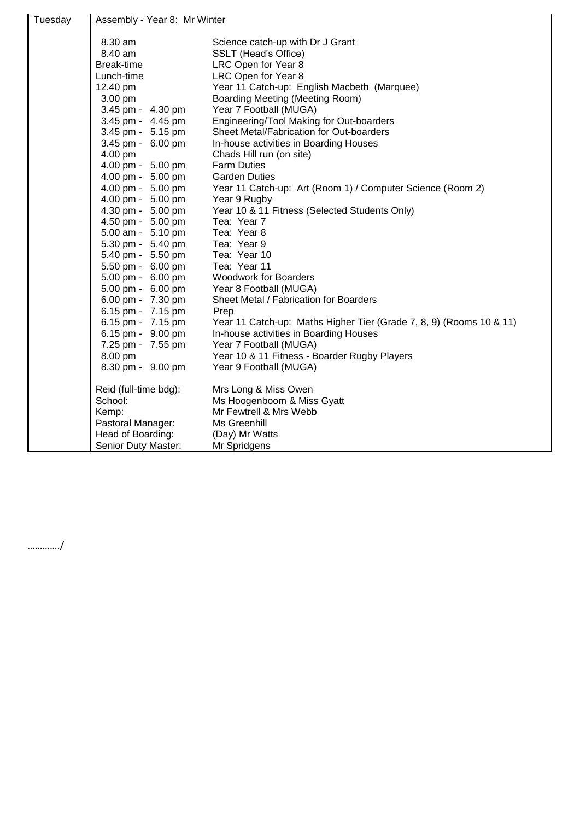| Tuesday | Assembly - Year 8: Mr Winter |                                                                     |
|---------|------------------------------|---------------------------------------------------------------------|
|         | 8.30 am                      | Science catch-up with Dr J Grant                                    |
|         | 8.40 am                      | SSLT (Head's Office)                                                |
|         | Break-time                   | LRC Open for Year 8                                                 |
|         | Lunch-time                   | LRC Open for Year 8                                                 |
|         | 12.40 pm                     | Year 11 Catch-up: English Macbeth (Marquee)                         |
|         | 3.00 pm                      | Boarding Meeting (Meeting Room)                                     |
|         | 3.45 pm - 4.30 pm            | Year 7 Football (MUGA)                                              |
|         | 3.45 pm - 4.45 pm            | Engineering/Tool Making for Out-boarders                            |
|         | 3.45 pm - 5.15 pm            | Sheet Metal/Fabrication for Out-boarders                            |
|         | 3.45 pm - 6.00 pm            | In-house activities in Boarding Houses                              |
|         | 4.00 pm                      | Chads Hill run (on site)                                            |
|         | 4.00 pm - 5.00 pm            | <b>Farm Duties</b>                                                  |
|         | 4.00 pm - 5.00 pm            | <b>Garden Duties</b>                                                |
|         | 4.00 pm - 5.00 pm            | Year 11 Catch-up: Art (Room 1) / Computer Science (Room 2)          |
|         | 4.00 pm - 5.00 pm            | Year 9 Rugby                                                        |
|         | 4.30 pm - 5.00 pm            | Year 10 & 11 Fitness (Selected Students Only)                       |
|         | 4.50 pm - 5.00 pm            | Tea: Year 7                                                         |
|         | 5.00 am - 5.10 pm            | Tea: Year 8                                                         |
|         | 5.30 pm - 5.40 pm            | Tea: Year 9                                                         |
|         | 5.40 pm - 5.50 pm            | Tea: Year 10                                                        |
|         | 5.50 pm - 6.00 pm            | Tea: Year 11                                                        |
|         | 5.00 pm - 6.00 pm            | <b>Woodwork for Boarders</b>                                        |
|         | 5.00 pm - 6.00 pm            | Year 8 Football (MUGA)                                              |
|         | 6.00 pm - 7.30 pm            | Sheet Metal / Fabrication for Boarders                              |
|         | 6.15 pm - 7.15 pm            | Prep                                                                |
|         | 6.15 pm - 7.15 pm            | Year 11 Catch-up: Maths Higher Tier (Grade 7, 8, 9) (Rooms 10 & 11) |
|         | 6.15 pm - 9.00 pm            | In-house activities in Boarding Houses                              |
|         | 7.25 pm - 7.55 pm            | Year 7 Football (MUGA)                                              |
|         | 8.00 pm                      | Year 10 & 11 Fitness - Boarder Rugby Players                        |
|         | 8.30 pm - 9.00 pm            | Year 9 Football (MUGA)                                              |
|         | Reid (full-time bdg):        | Mrs Long & Miss Owen                                                |
|         | School:                      | Ms Hoogenboom & Miss Gyatt                                          |
|         | Kemp:                        | Mr Fewtrell & Mrs Webb                                              |
|         | Pastoral Manager:            | Ms Greenhill                                                        |
|         | Head of Boarding:            | (Day) Mr Watts                                                      |
|         | Senior Duty Master:          | Mr Spridgens                                                        |

…………./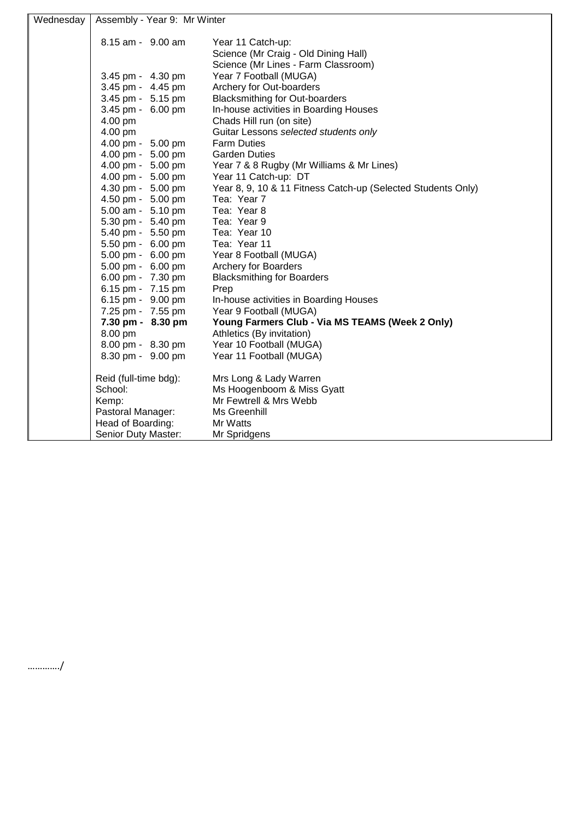| Wednesday | Assembly - Year 9: Mr Winter |                                                              |
|-----------|------------------------------|--------------------------------------------------------------|
|           |                              |                                                              |
|           | 8.15 am - 9.00 am            | Year 11 Catch-up:                                            |
|           |                              | Science (Mr Craig - Old Dining Hall)                         |
|           |                              | Science (Mr Lines - Farm Classroom)                          |
|           | 3.45 pm - 4.30 pm            | Year 7 Football (MUGA)                                       |
|           | 3.45 pm - 4.45 pm            | Archery for Out-boarders                                     |
|           | 3.45 pm - 5.15 pm            | <b>Blacksmithing for Out-boarders</b>                        |
|           | 3.45 pm - 6.00 pm            | In-house activities in Boarding Houses                       |
|           | 4.00 pm                      | Chads Hill run (on site)                                     |
|           | 4.00 pm                      | Guitar Lessons selected students only                        |
|           | 4.00 pm - 5.00 pm            | <b>Farm Duties</b>                                           |
|           | 4.00 pm - 5.00 pm            | <b>Garden Duties</b>                                         |
|           | 4.00 pm - 5.00 pm            | Year 7 & 8 Rugby (Mr Williams & Mr Lines)                    |
|           | 4.00 pm - 5.00 pm            | Year 11 Catch-up: DT                                         |
|           | 4.30 pm - 5.00 pm            | Year 8, 9, 10 & 11 Fitness Catch-up (Selected Students Only) |
|           | 4.50 pm - 5.00 pm            | Tea: Year 7                                                  |
|           | 5.00 am - 5.10 pm            | Tea: Year 8                                                  |
|           | 5.30 pm - 5.40 pm            | Tea: Year 9                                                  |
|           | 5.40 pm - 5.50 pm            | Tea: Year 10                                                 |
|           | 5.50 pm - 6.00 pm            | Tea: Year 11                                                 |
|           | 5.00 pm - 6.00 pm            | Year 8 Football (MUGA)                                       |
|           | 5.00 pm - 6.00 pm            | <b>Archery for Boarders</b>                                  |
|           | 6.00 pm - 7.30 pm            | <b>Blacksmithing for Boarders</b>                            |
|           | 6.15 pm - 7.15 pm            | Prep                                                         |
|           | 6.15 pm - 9.00 pm            | In-house activities in Boarding Houses                       |
|           | 7.25 pm - 7.55 pm            | Year 9 Football (MUGA)                                       |
|           | 7.30 pm - 8.30 pm            | Young Farmers Club - Via MS TEAMS (Week 2 Only)              |
|           | 8.00 pm                      | Athletics (By invitation)                                    |
|           | 8.00 pm - 8.30 pm            | Year 10 Football (MUGA)                                      |
|           | 8.30 pm - 9.00 pm            | Year 11 Football (MUGA)                                      |
|           | Reid (full-time bdg):        | Mrs Long & Lady Warren                                       |
|           | School:                      | Ms Hoogenboom & Miss Gyatt                                   |
|           | Kemp:                        | Mr Fewtrell & Mrs Webb                                       |
|           | Pastoral Manager:            | Ms Greenhill                                                 |
|           | Head of Boarding:            | Mr Watts                                                     |
|           | Senior Duty Master:          | Mr Spridgens                                                 |

…………./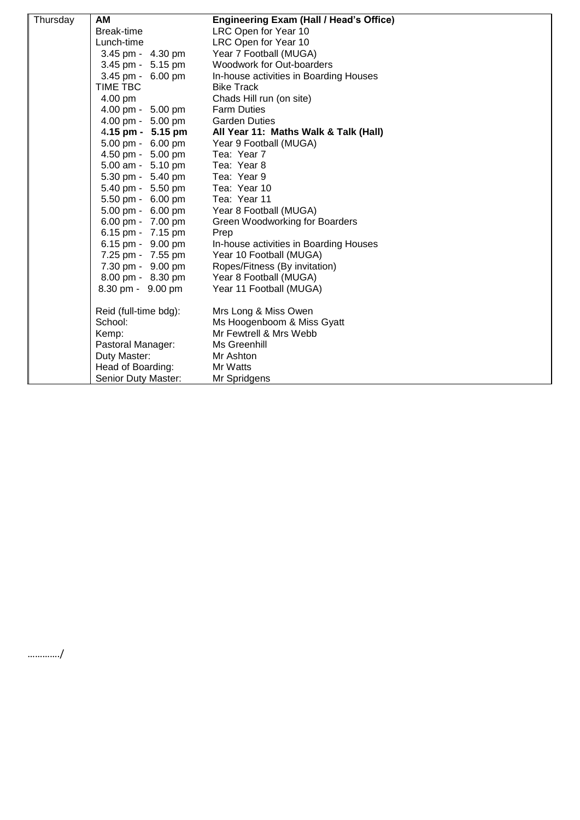| Thursday | <b>AM</b>             | <b>Engineering Exam (Hall / Head's Office)</b> |
|----------|-----------------------|------------------------------------------------|
|          | Break-time            | LRC Open for Year 10                           |
|          | Lunch-time            | LRC Open for Year 10                           |
|          | 3.45 pm - 4.30 pm     | Year 7 Football (MUGA)                         |
|          | 3.45 pm - 5.15 pm     | Woodwork for Out-boarders                      |
|          | 3.45 pm - 6.00 pm     | In-house activities in Boarding Houses         |
|          | TIME TBC              | <b>Bike Track</b>                              |
|          | 4.00 pm               | Chads Hill run (on site)                       |
|          | 4.00 pm - 5.00 pm     | <b>Farm Duties</b>                             |
|          | 4.00 pm - 5.00 pm     | <b>Garden Duties</b>                           |
|          | 4.15 pm - 5.15 pm     | All Year 11: Maths Walk & Talk (Hall)          |
|          | 5.00 pm - 6.00 pm     | Year 9 Football (MUGA)                         |
|          | 4.50 pm - 5.00 pm     | Tea: Year 7                                    |
|          | 5.00 am - 5.10 pm     | Tea: Year 8                                    |
|          | 5.30 pm - 5.40 pm     | Tea: Year 9                                    |
|          | 5.40 pm - 5.50 pm     | Tea: Year 10                                   |
|          | 5.50 pm - 6.00 pm     | Tea: Year 11                                   |
|          | 5.00 pm - 6.00 pm     | Year 8 Football (MUGA)                         |
|          | 6.00 pm - 7.00 pm     | Green Woodworking for Boarders                 |
|          | 6.15 pm - 7.15 pm     | Prep                                           |
|          | 6.15 pm - 9.00 pm     | In-house activities in Boarding Houses         |
|          | 7.25 pm - 7.55 pm     | Year 10 Football (MUGA)                        |
|          | 7.30 pm - 9.00 pm     | Ropes/Fitness (By invitation)                  |
|          | 8.00 pm - 8.30 pm     | Year 8 Football (MUGA)                         |
|          | 8.30 pm - 9.00 pm     | Year 11 Football (MUGA)                        |
|          | Reid (full-time bdg): | Mrs Long & Miss Owen                           |
|          | School:               | Ms Hoogenboom & Miss Gyatt                     |
|          | Kemp:                 | Mr Fewtrell & Mrs Webb                         |
|          | Pastoral Manager:     | Ms Greenhill                                   |
|          | Duty Master:          | Mr Ashton                                      |
|          | Head of Boarding:     | Mr Watts                                       |
|          | Senior Duty Master:   | Mr Spridgens                                   |

…………./